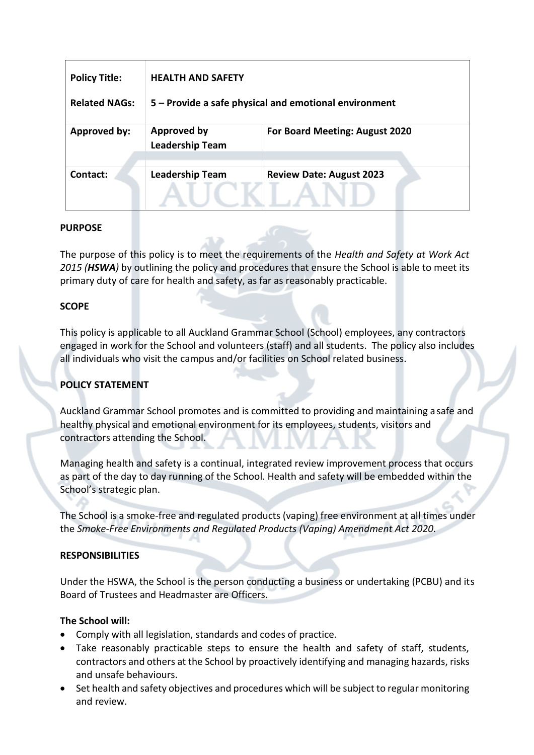| <b>Policy Title:</b><br><b>Related NAGs:</b> | <b>HEALTH AND SAFETY</b><br>5 - Provide a safe physical and emotional environment |                                 |
|----------------------------------------------|-----------------------------------------------------------------------------------|---------------------------------|
| Approved by:                                 | <b>Approved by</b><br><b>Leadership Team</b>                                      | For Board Meeting: August 2020  |
| Contact:                                     | <b>Leadership Team</b>                                                            | <b>Review Date: August 2023</b> |

## **PURPOSE**

The purpose of this policy is to meet the requirements of the *Health and Safety at Work Act 2015 (HSWA)* by outlining the policy and procedures that ensure the School is able to meet its primary duty of care for health and safety, as far as reasonably practicable.

## **SCOPE**

This policy is applicable to all Auckland Grammar School (School) employees, any contractors engaged in work for the School and volunteers (staff) and all students. The policy also includes all individuals who visit the campus and/or facilities on School related business.

# **POLICY STATEMENT**

Auckland Grammar School promotes and is committed to providing and maintaining asafe and healthy physical and emotional environment for its employees, students, visitors and contractors attending the School.

Managing health and safety is a continual, integrated review improvement process that occurs as part of the day to day running of the School. Health and safety will be embedded within the School's strategic plan.

The School is a smoke-free and regulated products (vaping) free environment at all times under the *Smoke-Free Environments and Regulated Products (Vaping) Amendment Act 2020.*

## **RESPONSIBILITIES**

Under the HSWA, the School is the person conducting a business or undertaking (PCBU) and its Board of Trustees and Headmaster are Officers.

## **The School will:**

- Comply with all legislation, standards and codes of practice.
- Take reasonably practicable steps to ensure the health and safety of staff, students, contractors and others at the School by proactively identifying and managing hazards, risks and unsafe behaviours.
- Set health and safety objectives and procedures which will be subject to regular monitoring and review.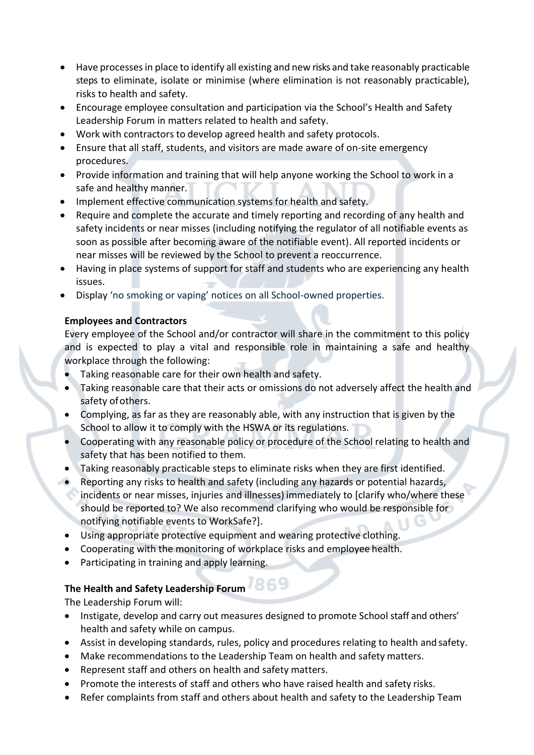- Have processesin place to identify all existing and new risks and take reasonably practicable steps to eliminate, isolate or minimise (where elimination is not reasonably practicable), risks to health and safety.
- Encourage employee consultation and participation via the School's Health and Safety Leadership Forum in matters related to health and safety.
- Work with contractors to develop agreed health and safety protocols.
- Ensure that all staff, students, and visitors are made aware of on-site emergency procedures.
- Provide information and training that will help anyone working the School to work in a safe and healthy manner.
- Implement effective communication systems for health and safety.
- Require and complete the accurate and timely reporting and recording of any health and safety incidents or near misses (including notifying the regulator of all notifiable events as soon as possible after becoming aware of the notifiable event). All reported incidents or near misses will be reviewed by the School to prevent a reoccurrence.
- Having in place systems of support for staff and students who are experiencing any health issues.
- Display 'no smoking or vaping' notices on all School-owned properties.

# **Employees and Contractors**

Every employee of the School and/or contractor will share in the commitment to this policy and is expected to play a vital and responsible role in maintaining a safe and healthy workplace through the following:

- Taking reasonable care for their own health and safety.
- Taking reasonable care that their acts or omissions do not adversely affect the health and safety of others.
- Complying, as far as they are reasonably able, with any instruction that is given by the School to allow it to comply with the HSWA or its regulations.
- Cooperating with any reasonable policy or procedure of the School relating to health and safety that has been notified to them.
- Taking reasonably practicable steps to eliminate risks when they are first identified.
- Reporting any risks to health and safety (including any hazards or potential hazards, incidents or near misses, injuries and illnesses) immediately to [clarify who/where these should be reported to? We also recommend clarifying who would be responsible for notifying notifiable events to WorkSafe?].
- Using appropriate protective equipment and wearing protective clothing.
- Cooperating with the monitoring of workplace risks and employee health.
- Participating in training and apply learning.

# **The Health and Safety Leadership Forum**

The Leadership Forum will:

- Instigate, develop and carry out measures designed to promote School staff and others' health and safety while on campus.
- Assist in developing standards, rules, policy and procedures relating to health and safety.
- Make recommendations to the Leadership Team on health and safety matters.
- Represent staff and others on health and safety matters.
- Promote the interests of staff and others who have raised health and safety risks.
- Refer complaints from staff and others about health and safety to the Leadership Team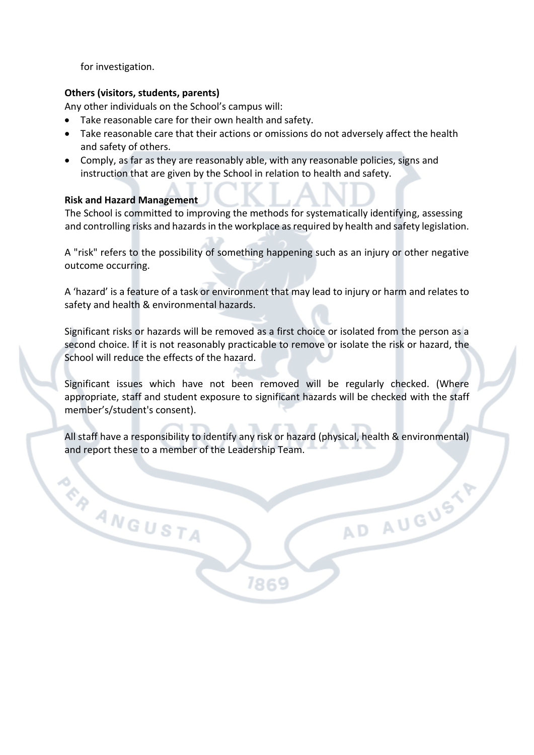for investigation.

# **Others (visitors, students, parents)**

Any other individuals on the School's campus will:

- Take reasonable care for their own health and safety.
- Take reasonable care that their actions or omissions do not adversely affect the health and safety of others.
- Comply, as far as they are reasonably able, with any reasonable policies, signs and instruction that are given by the School in relation to health and safety.

## **Risk and Hazard Management**

**ER ANGUSTA** 

The School is committed to improving the methods for systematically identifying, assessing and controlling risks and hazards in the workplace as required by health and safety legislation.

A "risk" refers to the possibility of something happening such as an injury or other negative outcome occurring.

A 'hazard' is a feature of a task or environment that may lead to injury or harm and relates to safety and health & environmental hazards.

Significant risks or hazards will be removed as a first choice or isolated from the person as a second choice. If it is not reasonably practicable to remove or isolate the risk or hazard, the School will reduce the effects of the hazard.

Significant issues which have not been removed will be regularly checked. (Where appropriate, staff and student exposure to significant hazards will be checked with the staff member's/student's consent).

All staff have a responsibility to identify any risk or hazard (physical, health & environmental) and report these to a member of the Leadership Team.

7869

AD AUGUSTY